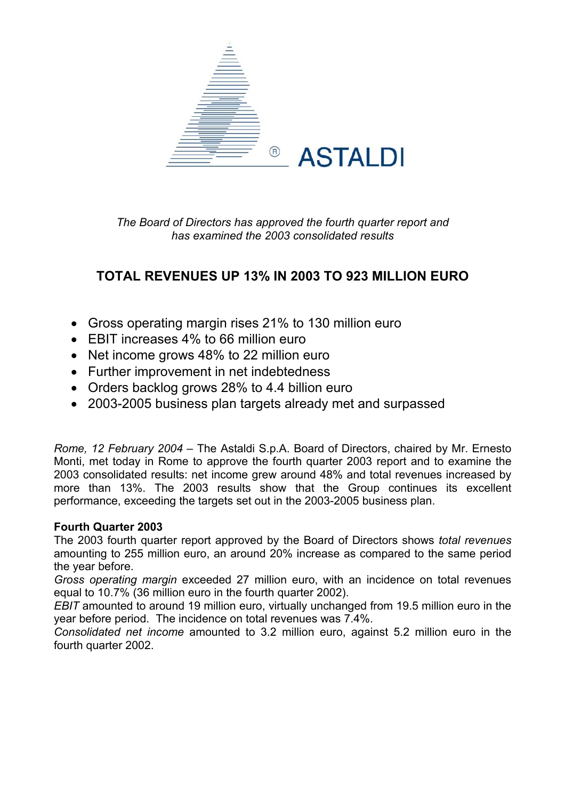

*The Board of Directors has approved the fourth quarter report and has examined the 2003 consolidated results* 

# **TOTAL REVENUES UP 13% IN 2003 TO 923 MILLION EURO**

- Gross operating margin rises 21% to 130 million euro
- FBIT increases 4% to 66 million euro
- Net income grows 48% to 22 million euro
- Further improvement in net indebtedness
- Orders backlog grows 28% to 4.4 billion euro
- 2003-2005 business plan targets already met and surpassed

*Rome, 12 February 2004* – The Astaldi S.p.A. Board of Directors, chaired by Mr. Ernesto Monti, met today in Rome to approve the fourth quarter 2003 report and to examine the 2003 consolidated results: net income grew around 48% and total revenues increased by more than 13%. The 2003 results show that the Group continues its excellent performance, exceeding the targets set out in the 2003-2005 business plan.

## **Fourth Quarter 2003**

The 2003 fourth quarter report approved by the Board of Directors shows *total revenues* amounting to 255 million euro, an around 20% increase as compared to the same period the year before.

*Gross operating margin* exceeded 27 million euro, with an incidence on total revenues equal to 10.7% (36 million euro in the fourth quarter 2002).

*EBIT* amounted to around 19 million euro, virtually unchanged from 19.5 million euro in the year before period. The incidence on total revenues was 7.4%.

*Consolidated net income* amounted to 3.2 million euro, against 5.2 million euro in the fourth quarter 2002.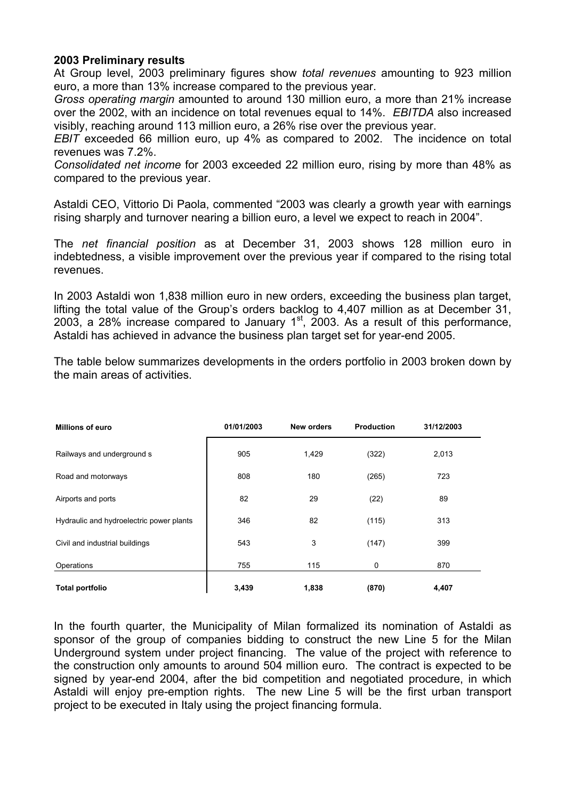### **2003 Preliminary results**

At Group level, 2003 preliminary figures show *total revenues* amounting to 923 million euro, a more than 13% increase compared to the previous year.

*Gross operating margin* amounted to around 130 million euro, a more than 21% increase over the 2002, with an incidence on total revenues equal to 14%. *EBITDA* also increased visibly, reaching around 113 million euro, a 26% rise over the previous year.

*EBIT* exceeded 66 million euro, up 4% as compared to 2002. The incidence on total revenues was 7.2%.

*Consolidated net income* for 2003 exceeded 22 million euro, rising by more than 48% as compared to the previous year.

Astaldi CEO, Vittorio Di Paola, commented "2003 was clearly a growth year with earnings rising sharply and turnover nearing a billion euro, a level we expect to reach in 2004".

The *net financial position* as at December 31, 2003 shows 128 million euro in indebtedness, a visible improvement over the previous year if compared to the rising total revenues.

In 2003 Astaldi won 1,838 million euro in new orders, exceeding the business plan target, lifting the total value of the Group's orders backlog to 4,407 million as at December 31, 2003, a 28% increase compared to January 1<sup>st</sup>, 2003. As a result of this performance, Astaldi has achieved in advance the business plan target set for year-end 2005.

The table below summarizes developments in the orders portfolio in 2003 broken down by the main areas of activities.

| <b>Millions of euro</b>                  | 01/01/2003 | <b>New orders</b> | <b>Production</b> | 31/12/2003 |  |
|------------------------------------------|------------|-------------------|-------------------|------------|--|
| Railways and underground s               | 905        | 1,429             | (322)             | 2,013      |  |
| Road and motorways                       | 808        | 180               | (265)             | 723        |  |
| Airports and ports                       | 82         | 29                | (22)              | 89         |  |
| Hydraulic and hydroelectric power plants | 346        | 82                | (115)             | 313        |  |
| Civil and industrial buildings           | 543        | 3                 | (147)             | 399        |  |
| Operations                               | 755        | 115               | 0                 | 870        |  |
| <b>Total portfolio</b>                   | 3,439      | 1,838             | (870)             | 4,407      |  |

In the fourth quarter, the Municipality of Milan formalized its nomination of Astaldi as sponsor of the group of companies bidding to construct the new Line 5 for the Milan Underground system under project financing. The value of the project with reference to the construction only amounts to around 504 million euro. The contract is expected to be signed by year-end 2004, after the bid competition and negotiated procedure, in which Astaldi will enjoy pre-emption rights. The new Line 5 will be the first urban transport project to be executed in Italy using the project financing formula.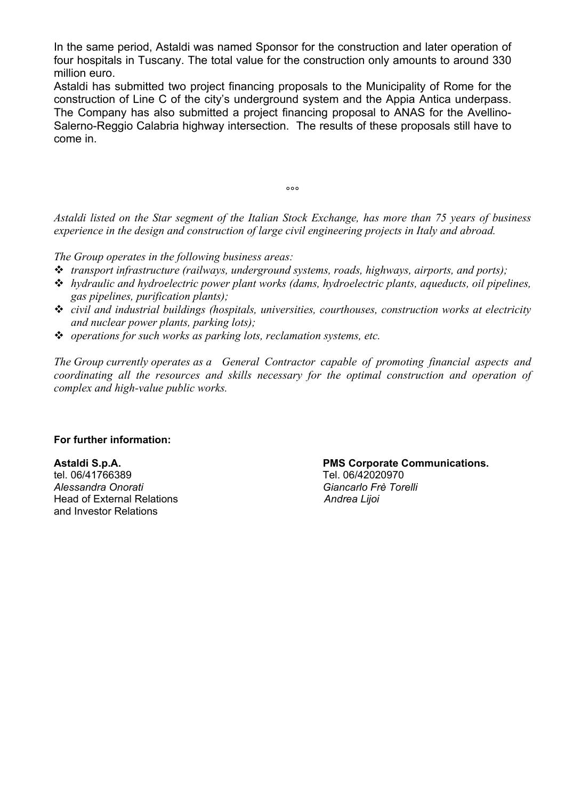In the same period, Astaldi was named Sponsor for the construction and later operation of four hospitals in Tuscany. The total value for the construction only amounts to around 330 million euro.

Astaldi has submitted two project financing proposals to the Municipality of Rome for the construction of Line C of the city's underground system and the Appia Antica underpass. The Company has also submitted a project financing proposal to ANAS for the Avellino-Salerno-Reggio Calabria highway intersection. The results of these proposals still have to come in.

ли в области в области в области в области в области в области в области в области в области в области в облас<br>В области в области в области в области в области в области в области в области в области в области в области<br>

*Astaldi listed on the Star segment of the Italian Stock Exchange, has more than 75 years of business experience in the design and construction of large civil engineering projects in Italy and abroad.* 

*The Group operates in the following business areas:* 

- *transport infrastructure (railways, underground systems, roads, highways, airports, and ports);*
- *hydraulic and hydroelectric power plant works (dams, hydroelectric plants, aqueducts, oil pipelines, gas pipelines, purification plants);*
- *civil and industrial buildings (hospitals, universities, courthouses, construction works at electricity and nuclear power plants, parking lots);*
- *operations for such works as parking lots, reclamation systems, etc.*

*The Group currently operates as a General Contractor capable of promoting financial aspects and coordinating all the resources and skills necessary for the optimal construction and operation of complex and high-value public works.* 

### **For further information:**

tel. 06/41766389 Tel. 06/42020970 *Alessandra Onorati Giancarlo Frè Torelli* Head of External Relations *Andrea Lijoi*  and Investor Relations

### **Astaldi S.p.A. PMS Corporate Communications.**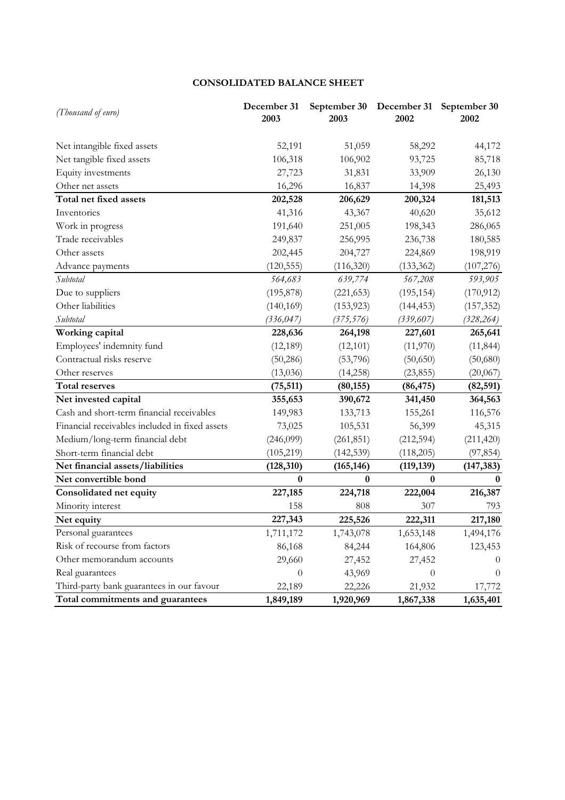### **CONSOLIDATED BALANCE SHEET**

| (Thousand of euro)                             | December 31<br>2003 | September 30<br>2003 | December 31<br>2002 | September 30<br>2002 |
|------------------------------------------------|---------------------|----------------------|---------------------|----------------------|
|                                                |                     |                      |                     |                      |
| Net intangible fixed assets                    | 52,191              | 51,059               | 58,292              | 44,172               |
| Net tangible fixed assets                      | 106,318             | 106,902              | 93,725              | 85,718               |
| Equity investments                             | 27,723              | 31,831               | 33,909              | 26,130               |
| Other net assets                               | 16,296              | 16,837               | 14,398              | 25,493               |
| Total net fixed assets                         | 202,528             | 206,629              | 200,324             | 181,513              |
| Inventories                                    | 41,316              | 43,367               | 40,620              | 35,612               |
| Work in progress                               | 191,640             | 251,005              | 198,343             | 286,065              |
| Trade receivables                              | 249,837             | 256,995              | 236,738             | 180,585              |
| Other assets                                   | 202,445             | 204,727              | 224,869             | 198,919              |
| Advance payments                               | (120, 555)          | (116, 320)           | (133, 362)          | (107, 276)           |
| Subtotal                                       | 564,683             | 639,774              | 567,208             | 593,905              |
| Due to suppliers                               | (195, 878)          | (221, 653)           | (195, 154)          | (170, 912)           |
| Other liabilities                              | (140, 169)          | (153, 923)           | (144, 453)          | (157, 352)           |
| Subtotal                                       | (336, 047)          | (375, 576)           | (339, 607)          | (328, 264)           |
| Working capital                                | 228,636             | 264,198              | 227,601             | 265,641              |
| Employees' indemnity fund                      | (12, 189)           | (12,101)             | (11,970)            | (11, 844)            |
| Contractual risks reserve                      | (50, 286)           | (53,796)             | (50,650)            | (50,680)             |
| Other reserves                                 | (13,036)            | (14,258)             | (23, 855)           | (20,067)             |
| <b>Total reserves</b>                          | (75, 511)           | (80, 155)            | (86, 475)           | (82, 591)            |
| Net invested capital                           | 355,653             | 390,672              | 341,450             | 364,563              |
| Cash and short-term financial receivables      | 149,983             | 133,713              | 155,261             | 116,576              |
| Financial receivables included in fixed assets | 73,025              | 105,531              | 56,399              | 45,315               |
| Medium/long-term financial debt                | (246,099)           | (261, 851)           | (212, 594)          | (211, 420)           |
| Short-term financial debt                      | (105, 219)          | (142, 539)           | (118,205)           | (97, 854)            |
| Net financial assets/liabilities               | (128, 310)          | (165, 146)           | (119, 139)          | (147, 383)           |
| Net convertible bond                           | $\bf{0}$            | $\bf{0}$             | $\bf{0}$            | $\bf{0}$             |
| Consolidated net equity                        | 227,185             | 224,718              | 222,004             | 216,387              |
| Minority interest                              | 158                 | 808                  | 307                 | 793                  |
| Net equity                                     | 227,343             | 225,526              | 222,311             | 217,180              |
| Personal guarantees                            | 1,711,172           | 1,743,078            | 1,653,148           | 1,494,176            |
| Risk of recourse from factors                  | 86,168              | 84,244               | 164,806             | 123,453              |
| Other memorandum accounts                      | 29,660              | 27,452               | 27,452              | $\theta$             |
| Real guarantees                                | $\theta$            | 43,969               | $\theta$            | $\theta$             |
| Third-party bank guarantees in our favour      | 22,189              | 22,226               | 21,932              | 17,772               |
| Total commitments and guarantees               | 1,849,189           | 1,920,969            | 1,867,338           | 1,635,401            |